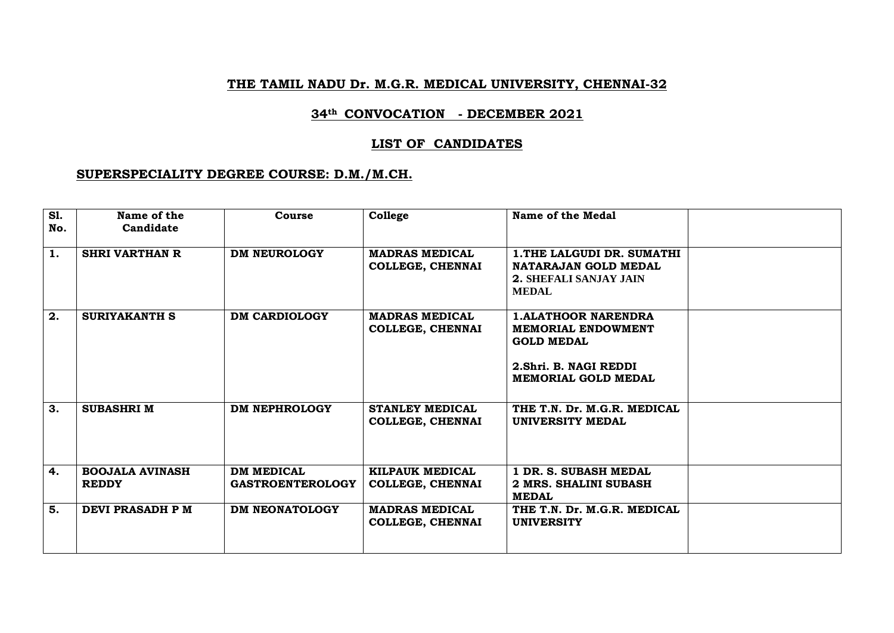#### **THE TAMIL NADU Dr. M.G.R. MEDICAL UNIVERSITY, CHENNAI-32**

#### **34th CONVOCATION - DECEMBER 2021**

#### **LIST OF CANDIDATES**

#### **SUPERSPECIALITY DEGREE COURSE: D.M./M.CH.**

| <b>S1.</b><br>No. | Name of the<br>Candidate               | Course                                       | College                                           | Name of the Medal                                                                                                                    |  |
|-------------------|----------------------------------------|----------------------------------------------|---------------------------------------------------|--------------------------------------------------------------------------------------------------------------------------------------|--|
| 1.                | <b>SHRI VARTHAN R</b>                  | <b>DM NEUROLOGY</b>                          | <b>MADRAS MEDICAL</b><br>COLLEGE, CHENNAI         | 1. THE LALGUDI DR. SUMATHI<br>NATARAJAN GOLD MEDAL<br><b>2. SHEFALI SANJAY JAIN</b><br><b>MEDAL</b>                                  |  |
| 2.                | <b>SURIYAKANTH S</b>                   | <b>DM CARDIOLOGY</b>                         | <b>MADRAS MEDICAL</b><br><b>COLLEGE, CHENNAI</b>  | <b>1.ALATHOOR NARENDRA</b><br><b>MEMORIAL ENDOWMENT</b><br><b>GOLD MEDAL</b><br>2. Shri. B. NAGI REDDI<br><b>MEMORIAL GOLD MEDAL</b> |  |
| 3.                | <b>SUBASHRI M</b>                      | <b>DM NEPHROLOGY</b>                         | <b>STANLEY MEDICAL</b><br><b>COLLEGE, CHENNAI</b> | THE T.N. Dr. M.G.R. MEDICAL<br><b>UNIVERSITY MEDAL</b>                                                                               |  |
| 4.                | <b>BOOJALA AVINASH</b><br><b>REDDY</b> | <b>DM MEDICAL</b><br><b>GASTROENTEROLOGY</b> | KILPAUK MEDICAL<br><b>COLLEGE, CHENNAI</b>        | 1 DR. S. SUBASH MEDAL<br>2 MRS. SHALINI SUBASH<br><b>MEDAL</b>                                                                       |  |
| 5.                | DEVI PRASADH P M                       | <b>DM NEONATOLOGY</b>                        | <b>MADRAS MEDICAL</b><br>COLLEGE, CHENNAI         | THE T.N. Dr. M.G.R. MEDICAL<br><b>UNIVERSITY</b>                                                                                     |  |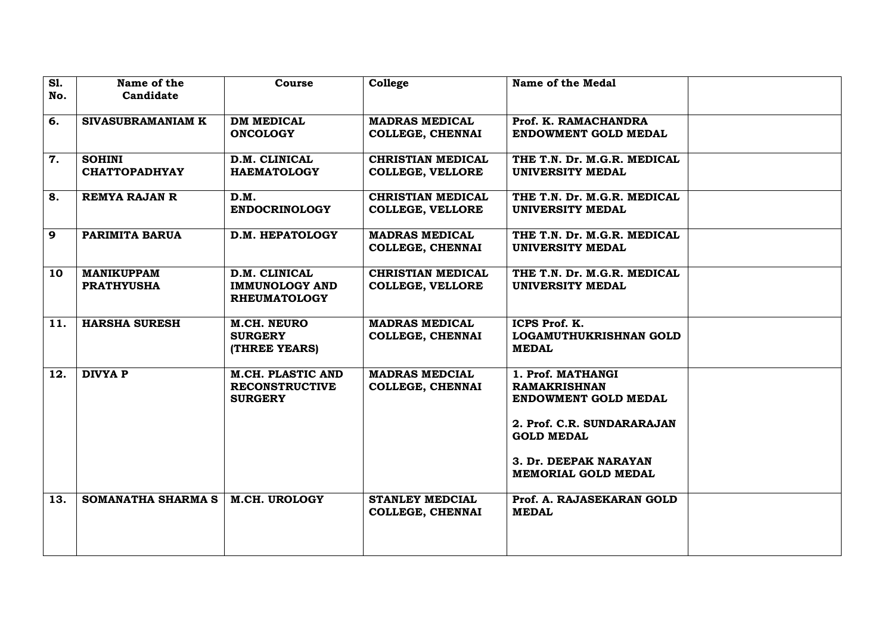| <b>S1.</b> | Name of the          | Course                                       | College                  | Name of the Medal           |  |
|------------|----------------------|----------------------------------------------|--------------------------|-----------------------------|--|
| No.        | Candidate            |                                              |                          |                             |  |
|            |                      |                                              |                          |                             |  |
| 6.         | SIVASUBRAMANIAM K    | <b>DM MEDICAL</b>                            | <b>MADRAS MEDICAL</b>    | Prof. K. RAMACHANDRA        |  |
|            |                      | <b>ONCOLOGY</b>                              | <b>COLLEGE, CHENNAI</b>  | <b>ENDOWMENT GOLD MEDAL</b> |  |
| 7.         | <b>SOHINI</b>        | D.M. CLINICAL                                | <b>CHRISTIAN MEDICAL</b> | THE T.N. Dr. M.G.R. MEDICAL |  |
|            | <b>CHATTOPADHYAY</b> | <b>HAEMATOLOGY</b>                           | <b>COLLEGE, VELLORE</b>  | <b>UNIVERSITY MEDAL</b>     |  |
|            |                      |                                              |                          |                             |  |
| 8.         | <b>REMYA RAJAN R</b> | D.M.                                         | <b>CHRISTIAN MEDICAL</b> | THE T.N. Dr. M.G.R. MEDICAL |  |
|            |                      | <b>ENDOCRINOLOGY</b>                         | <b>COLLEGE, VELLORE</b>  | UNIVERSITY MEDAL            |  |
|            |                      |                                              |                          |                             |  |
| 9          | PARIMITA BARUA       | D.M. HEPATOLOGY                              | <b>MADRAS MEDICAL</b>    | THE T.N. Dr. M.G.R. MEDICAL |  |
|            |                      |                                              | COLLEGE, CHENNAI         | <b>UNIVERSITY MEDAL</b>     |  |
|            |                      |                                              |                          |                             |  |
| 10         | <b>MANIKUPPAM</b>    | D.M. CLINICAL                                | <b>CHRISTIAN MEDICAL</b> | THE T.N. Dr. M.G.R. MEDICAL |  |
|            | <b>PRATHYUSHA</b>    | <b>IMMUNOLOGY AND</b><br><b>RHEUMATOLOGY</b> | <b>COLLEGE, VELLORE</b>  | UNIVERSITY MEDAL            |  |
|            |                      |                                              |                          |                             |  |
| 11.        | <b>HARSHA SURESH</b> | M.CH. NEURO                                  | <b>MADRAS MEDICAL</b>    | ICPS Prof. K.               |  |
|            |                      | <b>SURGERY</b>                               | <b>COLLEGE, CHENNAI</b>  | LOGAMUTHUKRISHNAN GOLD      |  |
|            |                      | (THREE YEARS)                                |                          | <b>MEDAL</b>                |  |
|            |                      |                                              |                          |                             |  |
| 12.        | <b>DIVYA P</b>       | <b>M.CH. PLASTIC AND</b>                     | <b>MADRAS MEDCIAL</b>    | 1. Prof. MATHANGI           |  |
|            |                      | <b>RECONSTRUCTIVE</b>                        | <b>COLLEGE, CHENNAI</b>  | <b>RAMAKRISHNAN</b>         |  |
|            |                      | <b>SURGERY</b>                               |                          | ENDOWMENT GOLD MEDAL        |  |
|            |                      |                                              |                          | 2. Prof. C.R. SUNDARARAJAN  |  |
|            |                      |                                              |                          | <b>GOLD MEDAL</b>           |  |
|            |                      |                                              |                          |                             |  |
|            |                      |                                              |                          | 3. Dr. DEEPAK NARAYAN       |  |
|            |                      |                                              |                          | <b>MEMORIAL GOLD MEDAL</b>  |  |
|            |                      |                                              |                          |                             |  |
| 13.        | SOMANATHA SHARMA S   | <b>M.CH. UROLOGY</b>                         | <b>STANLEY MEDCIAL</b>   | Prof. A. RAJASEKARAN GOLD   |  |
|            |                      |                                              | <b>COLLEGE, CHENNAI</b>  | <b>MEDAL</b>                |  |
|            |                      |                                              |                          |                             |  |
|            |                      |                                              |                          |                             |  |
|            |                      |                                              |                          |                             |  |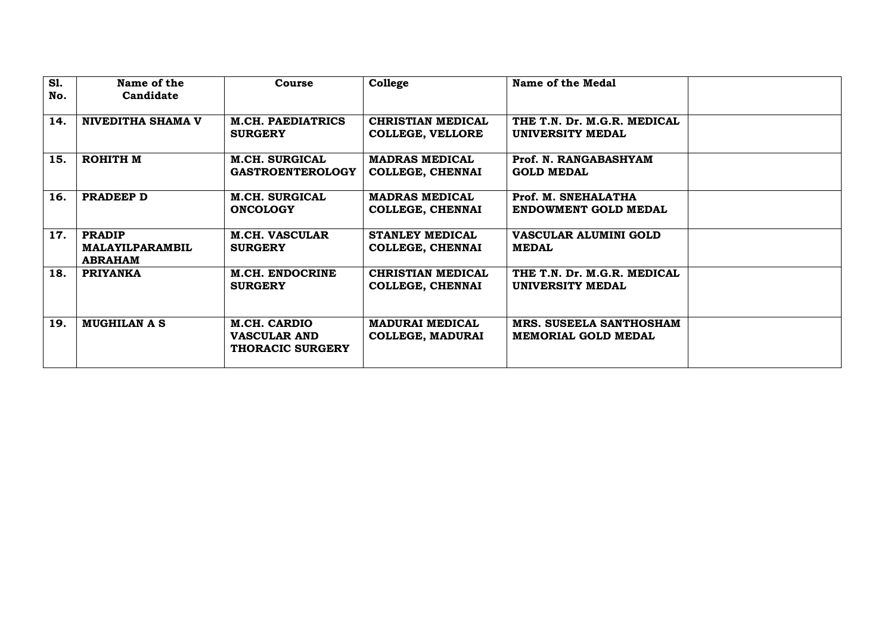| <b>S1.</b> | Name of the                                                            | Course                                                         | College                                                                                                | Name of the Medal                                     |  |
|------------|------------------------------------------------------------------------|----------------------------------------------------------------|--------------------------------------------------------------------------------------------------------|-------------------------------------------------------|--|
| No.        | Candidate                                                              |                                                                |                                                                                                        |                                                       |  |
| 14.        | <b>NIVEDITHA SHAMA V</b><br><b>M.CH. PAEDIATRICS</b><br><b>SURGERY</b> |                                                                | <b>CHRISTIAN MEDICAL</b><br>THE T.N. Dr. M.G.R. MEDICAL<br><b>COLLEGE, VELLORE</b><br>UNIVERSITY MEDAL |                                                       |  |
| 15.        | <b>ROHITH M</b><br><b>M.CH. SURGICAL</b><br><b>GASTROENTEROLOGY</b>    |                                                                | <b>MADRAS MEDICAL</b><br>Prof. N. RANGABASHYAM<br><b>COLLEGE, CHENNAI</b><br><b>GOLD MEDAL</b>         |                                                       |  |
| 16.        | PRADEEP D                                                              | <b>M.CH. SURGICAL</b><br><b>ONCOLOGY</b>                       | <b>MADRAS MEDICAL</b><br>COLLEGE, CHENNAI                                                              | Prof. M. SNEHALATHA<br>ENDOWMENT GOLD MEDAL           |  |
| 17.        | <b>PRADIP</b><br><b>MALAYILPARAMBIL</b><br><b>ABRAHAM</b>              | <b>M.CH. VASCULAR</b><br><b>SURGERY</b>                        | <b>STANLEY MEDICAL</b><br>COLLEGE, CHENNAI                                                             | VASCULAR ALUMINI GOLD<br><b>MEDAL</b>                 |  |
| 18.        | <b>PRIYANKA</b>                                                        | <b>M.CH. ENDOCRINE</b><br><b>SURGERY</b>                       | <b>CHRISTIAN MEDICAL</b><br><b>COLLEGE, CHENNAI</b>                                                    | THE T.N. Dr. M.G.R. MEDICAL<br>UNIVERSITY MEDAL       |  |
| 19.        | <b>MUGHILAN A S</b>                                                    | M.CH. CARDIO<br><b>VASCULAR AND</b><br><b>THORACIC SURGERY</b> | <b>MADURAI MEDICAL</b><br><b>COLLEGE, MADURAI</b>                                                      | MRS. SUSEELA SANTHOSHAM<br><b>MEMORIAL GOLD MEDAL</b> |  |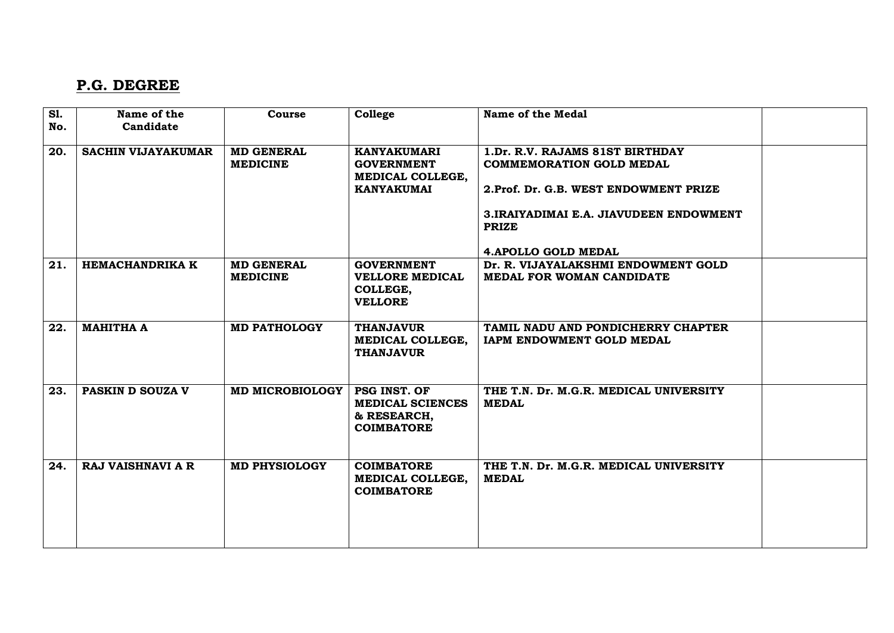### **P.G. DEGREE**

| <b>S1.</b> | Name of the               | Course                               | College                                                                          | Name of the Medal                                                                                                                                                                                     |  |
|------------|---------------------------|--------------------------------------|----------------------------------------------------------------------------------|-------------------------------------------------------------------------------------------------------------------------------------------------------------------------------------------------------|--|
| No.        | Candidate                 |                                      |                                                                                  |                                                                                                                                                                                                       |  |
| 20.        | <b>SACHIN VIJAYAKUMAR</b> | <b>MD GENERAL</b><br><b>MEDICINE</b> | <b>KANYAKUMARI</b><br><b>GOVERNMENT</b><br>MEDICAL COLLEGE,<br><b>KANYAKUMAI</b> | 1.Dr. R.V. RAJAMS 81ST BIRTHDAY<br><b>COMMEMORATION GOLD MEDAL</b><br>2. Prof. Dr. G.B. WEST ENDOWMENT PRIZE<br>3. IRAIYADIMAI E.A. JIAVUDEEN ENDOWMENT<br><b>PRIZE</b><br><b>4.APOLLO GOLD MEDAL</b> |  |
| 21.        | <b>HEMACHANDRIKA K</b>    | <b>MD GENERAL</b><br><b>MEDICINE</b> | <b>GOVERNMENT</b><br><b>VELLORE MEDICAL</b><br>COLLEGE,<br><b>VELLORE</b>        | Dr. R. VIJAYALAKSHMI ENDOWMENT GOLD<br>MEDAL FOR WOMAN CANDIDATE                                                                                                                                      |  |
| 22.        | <b>MAHITHA A</b>          | <b>MD PATHOLOGY</b>                  | <b>THANJAVUR</b><br>MEDICAL COLLEGE,<br><b>THANJAVUR</b>                         | TAMIL NADU AND PONDICHERRY CHAPTER<br>IAPM ENDOWMENT GOLD MEDAL                                                                                                                                       |  |
| 23.        | PASKIN D SOUZA V          | MD MICROBIOLOGY   PSG INST. OF       | <b>MEDICAL SCIENCES</b><br>& RESEARCH,<br><b>COIMBATORE</b>                      | THE T.N. Dr. M.G.R. MEDICAL UNIVERSITY<br><b>MEDAL</b>                                                                                                                                                |  |
| 24.        | <b>RAJ VAISHNAVI A R</b>  | <b>MD PHYSIOLOGY</b>                 | <b>COIMBATORE</b><br>MEDICAL COLLEGE,<br><b>COIMBATORE</b>                       | THE T.N. Dr. M.G.R. MEDICAL UNIVERSITY<br><b>MEDAL</b>                                                                                                                                                |  |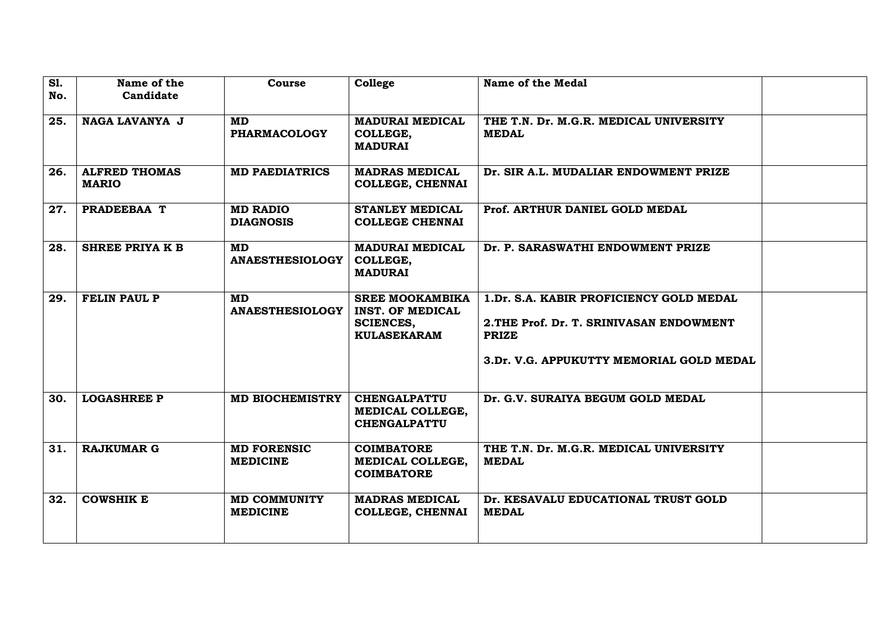| $\overline{sl.}$<br>No. | Name of the<br>Candidate             | Course                                 | College                                                                                     | Name of the Medal                                                                                                                               |  |
|-------------------------|--------------------------------------|----------------------------------------|---------------------------------------------------------------------------------------------|-------------------------------------------------------------------------------------------------------------------------------------------------|--|
| 25.                     | NAGA LAVANYA J                       | MD<br><b>PHARMACOLOGY</b>              | <b>MADURAI MEDICAL</b><br>COLLEGE,<br><b>MADURAI</b>                                        | THE T.N. Dr. M.G.R. MEDICAL UNIVERSITY<br><b>MEDAL</b>                                                                                          |  |
| 26.                     | <b>ALFRED THOMAS</b><br><b>MARIO</b> | <b>MD PAEDIATRICS</b>                  | <b>MADRAS MEDICAL</b><br><b>COLLEGE, CHENNAI</b>                                            | Dr. SIR A.L. MUDALIAR ENDOWMENT PRIZE                                                                                                           |  |
| 27.                     | PRADEEBAA T                          | <b>MD RADIO</b><br><b>DIAGNOSIS</b>    | <b>STANLEY MEDICAL</b><br><b>COLLEGE CHENNAI</b>                                            | Prof. ARTHUR DANIEL GOLD MEDAL                                                                                                                  |  |
| 28.                     | SHREE PRIYA K B                      | MD.<br><b>ANAESTHESIOLOGY</b>          | <b>MADURAI MEDICAL</b><br>COLLEGE,<br><b>MADURAI</b>                                        | Dr. P. SARASWATHI ENDOWMENT PRIZE                                                                                                               |  |
| 29.                     | <b>FELIN PAUL P</b>                  | <b>MD</b><br><b>ANAESTHESIOLOGY</b>    | <b>SREE MOOKAMBIKA</b><br><b>INST. OF MEDICAL</b><br><b>SCIENCES,</b><br><b>KULASEKARAM</b> | 1.Dr. S.A. KABIR PROFICIENCY GOLD MEDAL<br>2. THE Prof. Dr. T. SRINIVASAN ENDOWMENT<br><b>PRIZE</b><br>3.Dr. V.G. APPUKUTTY MEMORIAL GOLD MEDAL |  |
| 30.                     | <b>LOGASHREE P</b>                   | <b>MD BIOCHEMISTRY</b>                 | <b>CHENGALPATTU</b><br>MEDICAL COLLEGE,<br><b>CHENGALPATTU</b>                              | Dr. G.V. SURAIYA BEGUM GOLD MEDAL                                                                                                               |  |
| 31.                     | <b>RAJKUMAR G</b>                    | <b>MD FORENSIC</b><br><b>MEDICINE</b>  | <b>COIMBATORE</b><br>MEDICAL COLLEGE,<br><b>COIMBATORE</b>                                  | THE T.N. Dr. M.G.R. MEDICAL UNIVERSITY<br><b>MEDAL</b>                                                                                          |  |
| 32.                     | <b>COWSHIK E</b>                     | <b>MD COMMUNITY</b><br><b>MEDICINE</b> | <b>MADRAS MEDICAL</b><br><b>COLLEGE, CHENNAI</b>                                            | Dr. KESAVALU EDUCATIONAL TRUST GOLD<br><b>MEDAL</b>                                                                                             |  |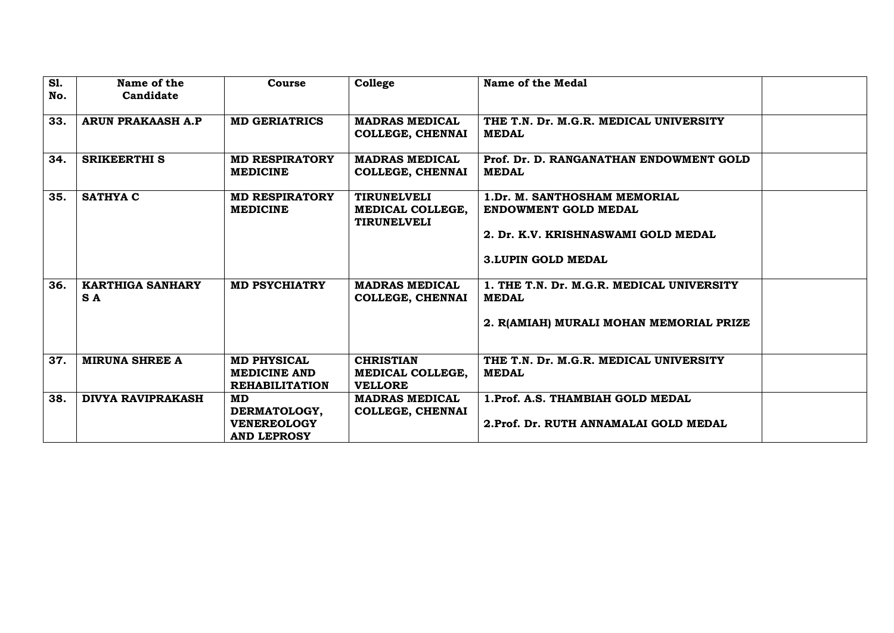| <b>S1.</b><br>No. | Name of the<br>Candidate       | Course                                                             | College                                                      | Name of the Medal                                                                                                        |  |
|-------------------|--------------------------------|--------------------------------------------------------------------|--------------------------------------------------------------|--------------------------------------------------------------------------------------------------------------------------|--|
| 33.               | <b>ARUN PRAKAASH A.P</b>       | <b>MD GERIATRICS</b>                                               | <b>MADRAS MEDICAL</b><br><b>COLLEGE, CHENNAI</b>             | THE T.N. Dr. M.G.R. MEDICAL UNIVERSITY<br><b>MEDAL</b>                                                                   |  |
| 34.               | <b>SRIKEERTHI S</b>            | <b>MD RESPIRATORY</b><br><b>MEDICINE</b>                           | <b>MADRAS MEDICAL</b><br><b>COLLEGE, CHENNAI</b>             | Prof. Dr. D. RANGANATHAN ENDOWMENT GOLD<br><b>MEDAL</b>                                                                  |  |
| 35.               | <b>SATHYA C</b>                | <b>MD RESPIRATORY</b><br><b>MEDICINE</b>                           | <b>TIRUNELVELI</b><br>MEDICAL COLLEGE,<br><b>TIRUNELVELI</b> | 1.Dr. M. SANTHOSHAM MEMORIAL<br>ENDOWMENT GOLD MEDAL<br>2. Dr. K.V. KRISHNASWAMI GOLD MEDAL<br><b>3.LUPIN GOLD MEDAL</b> |  |
| 36.               | <b>KARTHIGA SANHARY</b><br>S A | <b>MD PSYCHIATRY</b>                                               | <b>MADRAS MEDICAL</b><br><b>COLLEGE, CHENNAI</b>             | 1. THE T.N. Dr. M.G.R. MEDICAL UNIVERSITY<br><b>MEDAL</b><br>2. R(AMIAH) MURALI MOHAN MEMORIAL PRIZE                     |  |
| 37.               | <b>MIRUNA SHREE A</b>          | <b>MD PHYSICAL</b><br><b>MEDICINE AND</b><br><b>REHABILITATION</b> | <b>CHRISTIAN</b><br>MEDICAL COLLEGE,<br><b>VELLORE</b>       | THE T.N. Dr. M.G.R. MEDICAL UNIVERSITY<br><b>MEDAL</b>                                                                   |  |
| 38.               | <b>DIVYA RAVIPRAKASH</b>       | MD<br>DERMATOLOGY,<br><b>VENEREOLOGY</b><br><b>AND LEPROSY</b>     | <b>MADRAS MEDICAL</b><br>COLLEGE, CHENNAI                    | 1. Prof. A.S. THAMBIAH GOLD MEDAL<br>2. Prof. Dr. RUTH ANNAMALAI GOLD MEDAL                                              |  |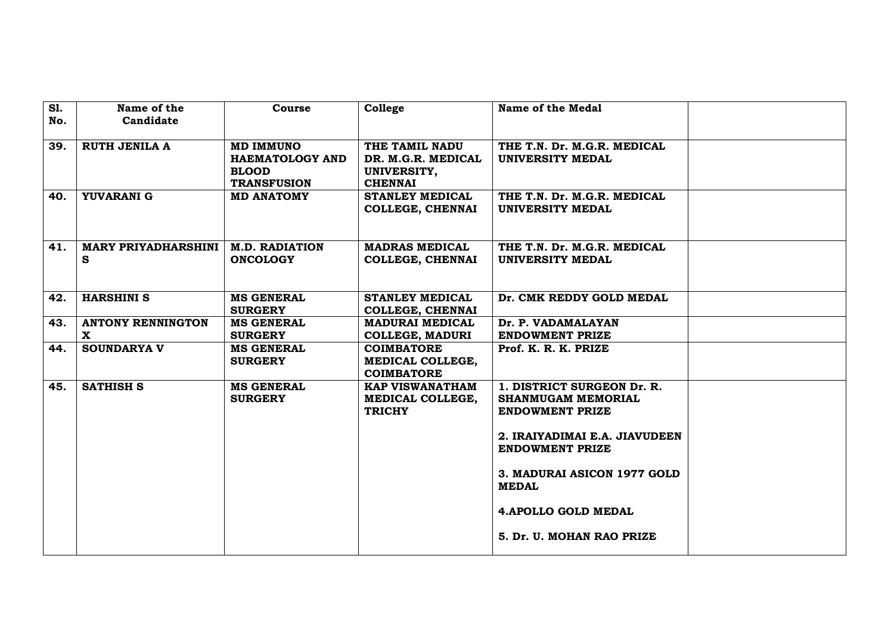| S1. | Name of the                        | Course                              | College                                     | Name of the Medal                              |  |
|-----|------------------------------------|-------------------------------------|---------------------------------------------|------------------------------------------------|--|
| No. | Candidate                          |                                     |                                             |                                                |  |
|     |                                    |                                     |                                             |                                                |  |
| 39. | <b>RUTH JENILA A</b>               | <b>MD IMMUNO</b>                    | THE TAMIL NADU                              | THE T.N. Dr. M.G.R. MEDICAL                    |  |
|     |                                    | <b>HAEMATOLOGY AND</b>              | DR. M.G.R. MEDICAL                          | UNIVERSITY MEDAL                               |  |
|     |                                    | <b>BLOOD</b><br><b>TRANSFUSION</b>  | UNIVERSITY,<br><b>CHENNAI</b>               |                                                |  |
| 40. | YUVARANI G                         | <b>MD ANATOMY</b>                   | <b>STANLEY MEDICAL</b>                      | THE T.N. Dr. M.G.R. MEDICAL                    |  |
|     |                                    |                                     | <b>COLLEGE, CHENNAI</b>                     | <b>UNIVERSITY MEDAL</b>                        |  |
|     |                                    |                                     |                                             |                                                |  |
|     |                                    |                                     |                                             |                                                |  |
| 41. | <b>MARY PRIYADHARSHINI</b>         | <b>M.D. RADIATION</b>               | <b>MADRAS MEDICAL</b>                       | THE T.N. Dr. M.G.R. MEDICAL                    |  |
|     | S                                  | <b>ONCOLOGY</b>                     | <b>COLLEGE, CHENNAI</b>                     | UNIVERSITY MEDAL                               |  |
|     |                                    |                                     |                                             |                                                |  |
|     |                                    |                                     |                                             |                                                |  |
| 42. | <b>HARSHINI S</b>                  | <b>MS GENERAL</b>                   | <b>STANLEY MEDICAL</b>                      | Dr. CMK REDDY GOLD MEDAL                       |  |
|     |                                    | <b>SURGERY</b>                      | <b>COLLEGE, CHENNAI</b>                     |                                                |  |
| 43. | <b>ANTONY RENNINGTON</b>           | <b>MS GENERAL</b>                   | <b>MADURAI MEDICAL</b>                      | Dr. P. VADAMALAYAN                             |  |
|     | $\mathbf{x}$<br><b>SOUNDARYA V</b> | <b>SURGERY</b><br><b>MS GENERAL</b> | <b>COLLEGE, MADURI</b><br><b>COIMBATORE</b> | <b>ENDOWMENT PRIZE</b><br>Prof. K. R. K. PRIZE |  |
| 44. |                                    | <b>SURGERY</b>                      | MEDICAL COLLEGE,                            |                                                |  |
|     |                                    |                                     | <b>COIMBATORE</b>                           |                                                |  |
| 45. | <b>SATHISH S</b>                   | <b>MS GENERAL</b>                   | <b>KAP VISWANATHAM</b>                      | 1. DISTRICT SURGEON Dr. R.                     |  |
|     |                                    | <b>SURGERY</b>                      | MEDICAL COLLEGE,                            | <b>SHANMUGAM MEMORIAL</b>                      |  |
|     |                                    |                                     | <b>TRICHY</b>                               | <b>ENDOWMENT PRIZE</b>                         |  |
|     |                                    |                                     |                                             |                                                |  |
|     |                                    |                                     |                                             | 2. IRAIYADIMAI E.A. JIAVUDEEN                  |  |
|     |                                    |                                     |                                             | <b>ENDOWMENT PRIZE</b>                         |  |
|     |                                    |                                     |                                             |                                                |  |
|     |                                    |                                     |                                             | 3. MADURAI ASICON 1977 GOLD                    |  |
|     |                                    |                                     |                                             | <b>MEDAL</b>                                   |  |
|     |                                    |                                     |                                             | <b>4.APOLLO GOLD MEDAL</b>                     |  |
|     |                                    |                                     |                                             |                                                |  |
|     |                                    |                                     |                                             | 5. Dr. U. MOHAN RAO PRIZE                      |  |
|     |                                    |                                     |                                             |                                                |  |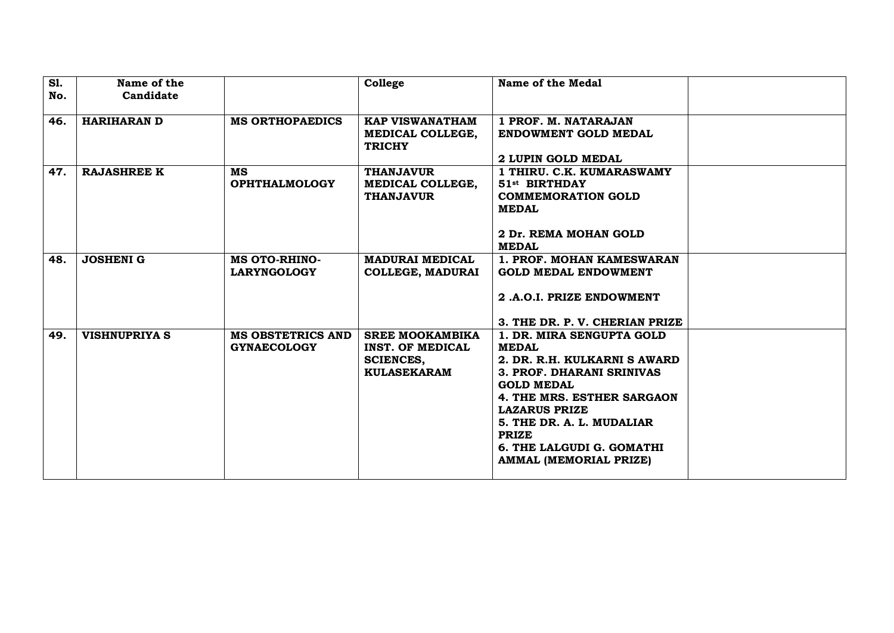| <b>S1.</b> | Name of the          |                                   | College                                | Name of the Medal                                      |  |
|------------|----------------------|-----------------------------------|----------------------------------------|--------------------------------------------------------|--|
| No.        | Candidate            |                                   |                                        |                                                        |  |
|            |                      |                                   |                                        |                                                        |  |
| 46.        | <b>HARIHARAN D</b>   | <b>MS ORTHOPAEDICS</b>            | <b>KAP VISWANATHAM</b>                 | 1 PROF. M. NATARAJAN                                   |  |
|            |                      |                                   | MEDICAL COLLEGE,                       | <b>ENDOWMENT GOLD MEDAL</b>                            |  |
|            |                      |                                   | <b>TRICHY</b>                          |                                                        |  |
|            |                      |                                   |                                        | 2 LUPIN GOLD MEDAL                                     |  |
| 47.        | <b>RAJASHREE K</b>   | <b>MS</b><br><b>OPHTHALMOLOGY</b> | <b>THANJAVUR</b><br>MEDICAL COLLEGE,   | 1 THIRU. C.K. KUMARASWAMY<br>51 <sup>st</sup> BIRTHDAY |  |
|            |                      |                                   | <b>THANJAVUR</b>                       | <b>COMMEMORATION GOLD</b>                              |  |
|            |                      |                                   |                                        | <b>MEDAL</b>                                           |  |
|            |                      |                                   |                                        |                                                        |  |
|            |                      |                                   |                                        | 2 Dr. REMA MOHAN GOLD                                  |  |
|            |                      |                                   |                                        | <b>MEDAL</b>                                           |  |
| 48.        | <b>JOSHENI G</b>     | <b>MS OTO-RHINO-</b>              | <b>MADURAI MEDICAL</b>                 | 1. PROF. MOHAN KAMESWARAN                              |  |
|            |                      | <b>LARYNGOLOGY</b>                | <b>COLLEGE, MADURAI</b>                | <b>GOLD MEDAL ENDOWMENT</b>                            |  |
|            |                      |                                   |                                        |                                                        |  |
|            |                      |                                   |                                        | 2.A.O.I. PRIZE ENDOWMENT                               |  |
|            |                      |                                   |                                        |                                                        |  |
|            |                      |                                   |                                        | 3. THE DR. P. V. CHERIAN PRIZE                         |  |
| 49.        | <b>VISHNUPRIYA S</b> | <b>MS OBSTETRICS AND</b>          | <b>SREE MOOKAMBIKA</b>                 | 1. DR. MIRA SENGUPTA GOLD                              |  |
|            |                      | <b>GYNAECOLOGY</b>                | <b>INST. OF MEDICAL</b>                | <b>MEDAL</b><br>2. DR. R.H. KULKARNI S AWARD           |  |
|            |                      |                                   | <b>SCIENCES,</b><br><b>KULASEKARAM</b> | 3. PROF. DHARANI SRINIVAS                              |  |
|            |                      |                                   |                                        | <b>GOLD MEDAL</b>                                      |  |
|            |                      |                                   |                                        | 4. THE MRS. ESTHER SARGAON                             |  |
|            |                      |                                   |                                        | <b>LAZARUS PRIZE</b>                                   |  |
|            |                      |                                   |                                        | 5. THE DR. A. L. MUDALIAR                              |  |
|            |                      |                                   |                                        | <b>PRIZE</b>                                           |  |
|            |                      |                                   |                                        | 6. THE LALGUDI G. GOMATHI                              |  |
|            |                      |                                   |                                        | AMMAL (MEMORIAL PRIZE)                                 |  |
|            |                      |                                   |                                        |                                                        |  |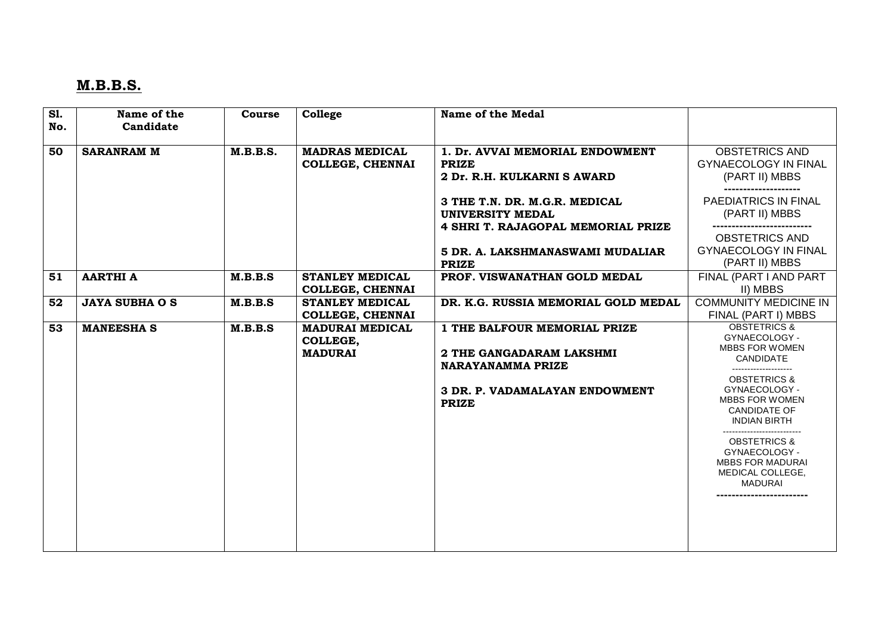# **M.B.B.S.**

| <b>S1.</b> | Name of the           | Course          | College                                              | Name of the Medal                                                                                                                             |                                                                                                                                                                                                          |
|------------|-----------------------|-----------------|------------------------------------------------------|-----------------------------------------------------------------------------------------------------------------------------------------------|----------------------------------------------------------------------------------------------------------------------------------------------------------------------------------------------------------|
| No.        | Candidate             |                 |                                                      |                                                                                                                                               |                                                                                                                                                                                                          |
| 50         | <b>SARANRAM M</b>     | <b>M.B.B.S.</b> | <b>MADRAS MEDICAL</b><br><b>COLLEGE, CHENNAI</b>     | 1. Dr. AVVAI MEMORIAL ENDOWMENT<br><b>PRIZE</b><br>2 Dr. R.H. KULKARNI S AWARD                                                                | <b>OBSTETRICS AND</b><br><b>GYNAECOLOGY IN FINAL</b><br>(PART II) MBBS                                                                                                                                   |
|            |                       |                 |                                                      | 3 THE T.N. DR. M.G.R. MEDICAL<br>UNIVERSITY MEDAL<br>4 SHRI T. RAJAGOPAL MEMORIAL PRIZE                                                       | PAEDIATRICS IN FINAL<br>(PART II) MBBS                                                                                                                                                                   |
|            |                       |                 |                                                      | 5 DR. A. LAKSHMANASWAMI MUDALIAR<br><b>PRIZE</b>                                                                                              | <b>OBSTETRICS AND</b><br><b>GYNAECOLOGY IN FINAL</b><br>(PART II) MBBS                                                                                                                                   |
| 51         | <b>AARTHI A</b>       | M.B.B.S         | <b>STANLEY MEDICAL</b><br><b>COLLEGE, CHENNAI</b>    | PROF. VISWANATHAN GOLD MEDAL                                                                                                                  | FINAL (PART I AND PART<br>II) MBBS                                                                                                                                                                       |
| 52         | <b>JAYA SUBHA O S</b> | M.B.B.S         | <b>STANLEY MEDICAL</b><br><b>COLLEGE, CHENNAI</b>    | DR. K.G. RUSSIA MEMORIAL GOLD MEDAL                                                                                                           | <b>COMMUNITY MEDICINE IN</b><br>FINAL (PART I) MBBS                                                                                                                                                      |
| 53         | <b>MANEESHA S</b>     | M.B.B.S         | <b>MADURAI MEDICAL</b><br>COLLEGE,<br><b>MADURAI</b> | 1 THE BALFOUR MEMORIAL PRIZE<br>2 THE GANGADARAM LAKSHMI<br><b>NARAYANAMMA PRIZE</b><br><b>3 DR. P. VADAMALAYAN ENDOWMENT</b><br><b>PRIZE</b> | <b>OBSTETRICS &amp;</b><br>GYNAECOLOGY -<br><b>MBBS FOR WOMEN</b><br><b>CANDIDATE</b><br><b>OBSTETRICS &amp;</b><br>GYNAECOLOGY -<br><b>MBBS FOR WOMEN</b><br><b>CANDIDATE OF</b><br><b>INDIAN BIRTH</b> |
|            |                       |                 |                                                      |                                                                                                                                               | <b>OBSTETRICS &amp;</b><br>GYNAECOLOGY -<br><b>MBBS FOR MADURAI</b><br>MEDICAL COLLEGE,<br><b>MADURAI</b>                                                                                                |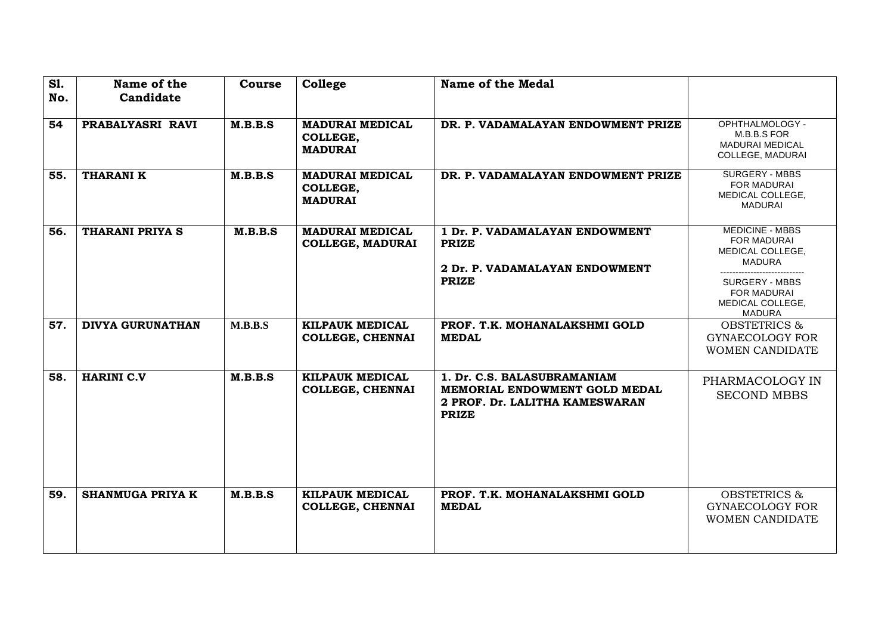| <b>S1.</b><br>No. | Name of the<br>Candidate | <b>Course</b> | College                                              | <b>Name of the Medal</b>                                                                                       |                                                                                                                                                         |
|-------------------|--------------------------|---------------|------------------------------------------------------|----------------------------------------------------------------------------------------------------------------|---------------------------------------------------------------------------------------------------------------------------------------------------------|
| 54                | PRABALYASRI RAVI         | M.B.B.S       | <b>MADURAI MEDICAL</b><br>COLLEGE,<br><b>MADURAI</b> | DR. P. VADAMALAYAN ENDOWMENT PRIZE                                                                             | OPHTHALMOLOGY -<br>M.B.B.S FOR<br><b>MADURAI MEDICAL</b><br>COLLEGE, MADURAI                                                                            |
| 55.               | <b>THARANIK</b>          | M.B.B.S       | <b>MADURAI MEDICAL</b><br>COLLEGE,<br><b>MADURAI</b> | DR. P. VADAMALAYAN ENDOWMENT PRIZE                                                                             | SURGERY - MBBS<br>FOR MADURAI<br>MEDICAL COLLEGE,<br><b>MADURAI</b>                                                                                     |
| 56.               | <b>THARANI PRIYA S</b>   | M.B.B.S       | <b>MADURAI MEDICAL</b><br><b>COLLEGE, MADURAI</b>    | 1 Dr. P. VADAMALAYAN ENDOWMENT<br><b>PRIZE</b><br>2 Dr. P. VADAMALAYAN ENDOWMENT<br><b>PRIZE</b>               | <b>MEDICINE - MBBS</b><br><b>FOR MADURAI</b><br>MEDICAL COLLEGE,<br><b>MADURA</b><br>SURGERY - MBBS<br><b>FOR MADURAI</b><br>MEDICAL COLLEGE,<br>MADURA |
| 57.               | <b>DIVYA GURUNATHAN</b>  | M.B.B.S       | KILPAUK MEDICAL<br><b>COLLEGE, CHENNAI</b>           | PROF. T.K. MOHANALAKSHMI GOLD<br><b>MEDAL</b>                                                                  | <b>OBSTETRICS &amp;</b><br>GYNAECOLOGY FOR<br>WOMEN CANDIDATE                                                                                           |
| 58.               | <b>HARINI C.V</b>        | M.B.B.S       | KILPAUK MEDICAL<br><b>COLLEGE, CHENNAI</b>           | 1. Dr. C.S. BALASUBRAMANIAM<br>MEMORIAL ENDOWMENT GOLD MEDAL<br>2 PROF. Dr. LALITHA KAMESWARAN<br><b>PRIZE</b> | PHARMACOLOGY IN<br><b>SECOND MBBS</b>                                                                                                                   |
| 59.               | <b>SHANMUGA PRIYA K</b>  | M.B.B.S       | KILPAUK MEDICAL<br><b>COLLEGE, CHENNAI</b>           | PROF. T.K. MOHANALAKSHMI GOLD<br><b>MEDAL</b>                                                                  | <b>OBSTETRICS &amp;</b><br><b>GYNAECOLOGY FOR</b><br>WOMEN CANDIDATE                                                                                    |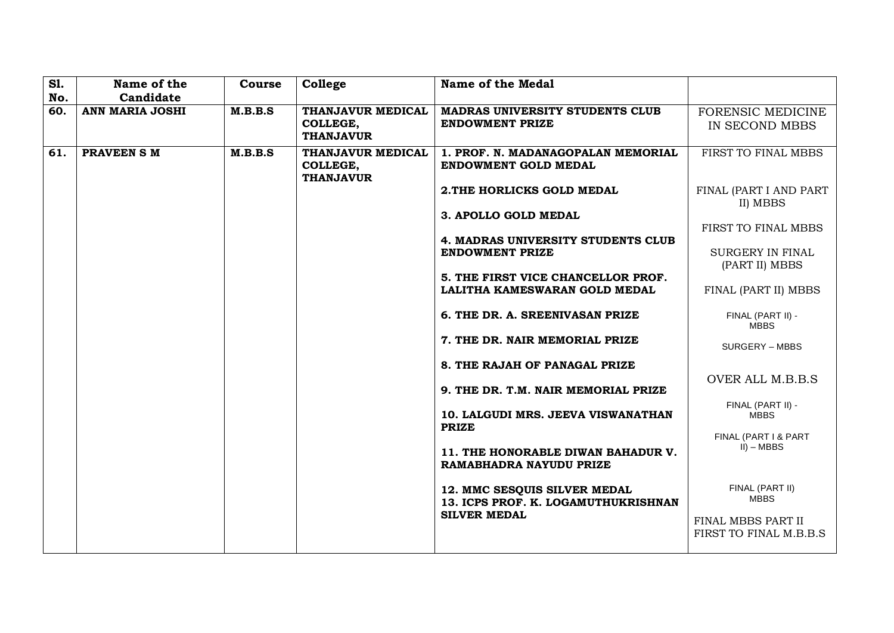| <b>S1.</b> | Name of the            | Course  | College                      | <b>Name of the Medal</b>                           |                                  |
|------------|------------------------|---------|------------------------------|----------------------------------------------------|----------------------------------|
| No.        | Candidate              |         |                              |                                                    |                                  |
| 60.        | <b>ANN MARIA JOSHI</b> | M.B.B.S | THANJAVUR MEDICAL            | <b>MADRAS UNIVERSITY STUDENTS CLUB</b>             | FORENSIC MEDICINE                |
|            |                        |         | COLLEGE,                     | <b>ENDOWMENT PRIZE</b>                             | IN SECOND MBBS                   |
|            |                        |         | <b>THANJAVUR</b>             |                                                    |                                  |
| 61.        | <b>PRAVEEN S M</b>     | M.B.B.S | THANJAVUR MEDICAL            | 1. PROF. N. MADANAGOPALAN MEMORIAL                 | FIRST TO FINAL MBBS              |
|            |                        |         | COLLEGE,<br><b>THANJAVUR</b> | <b>ENDOWMENT GOLD MEDAL</b>                        |                                  |
|            |                        |         |                              | 2. THE HORLICKS GOLD MEDAL                         | FINAL (PART I AND PART           |
|            |                        |         |                              |                                                    | II) MBBS                         |
|            |                        |         |                              | 3. APOLLO GOLD MEDAL                               |                                  |
|            |                        |         |                              |                                                    | FIRST TO FINAL MBBS              |
|            |                        |         |                              | 4. MADRAS UNIVERSITY STUDENTS CLUB                 |                                  |
|            |                        |         |                              | <b>ENDOWMENT PRIZE</b>                             | <b>SURGERY IN FINAL</b>          |
|            |                        |         |                              |                                                    | (PART II) MBBS                   |
|            |                        |         |                              | 5. THE FIRST VICE CHANCELLOR PROF.                 |                                  |
|            |                        |         |                              | LALITHA KAMESWARAN GOLD MEDAL                      | FINAL (PART II) MBBS             |
|            |                        |         |                              | 6. THE DR. A. SREENIVASAN PRIZE                    |                                  |
|            |                        |         |                              |                                                    | FINAL (PART II) -<br><b>MBBS</b> |
|            |                        |         |                              | 7. THE DR. NAIR MEMORIAL PRIZE                     |                                  |
|            |                        |         |                              |                                                    | SURGERY - MBBS                   |
|            |                        |         |                              | 8. THE RAJAH OF PANAGAL PRIZE                      |                                  |
|            |                        |         |                              |                                                    | OVER ALL M.B.B.S                 |
|            |                        |         |                              | 9. THE DR. T.M. NAIR MEMORIAL PRIZE                |                                  |
|            |                        |         |                              |                                                    | FINAL (PART II) -                |
|            |                        |         |                              | 10. LALGUDI MRS. JEEVA VISWANATHAN<br><b>PRIZE</b> | <b>MBBS</b>                      |
|            |                        |         |                              |                                                    | FINAL (PART I & PART             |
|            |                        |         |                              | 11. THE HONORABLE DIWAN BAHADUR V.                 | $II$ ) – MBBS                    |
|            |                        |         |                              | RAMABHADRA NAYUDU PRIZE                            |                                  |
|            |                        |         |                              |                                                    |                                  |
|            |                        |         |                              | 12. MMC SESQUIS SILVER MEDAL                       | FINAL (PART II)                  |
|            |                        |         |                              | 13. ICPS PROF. K. LOGAMUTHUKRISHNAN                | <b>MBBS</b>                      |
|            |                        |         |                              | <b>SILVER MEDAL</b>                                | FINAL MBBS PART II               |
|            |                        |         |                              |                                                    | FIRST TO FINAL M.B.B.S           |
|            |                        |         |                              |                                                    |                                  |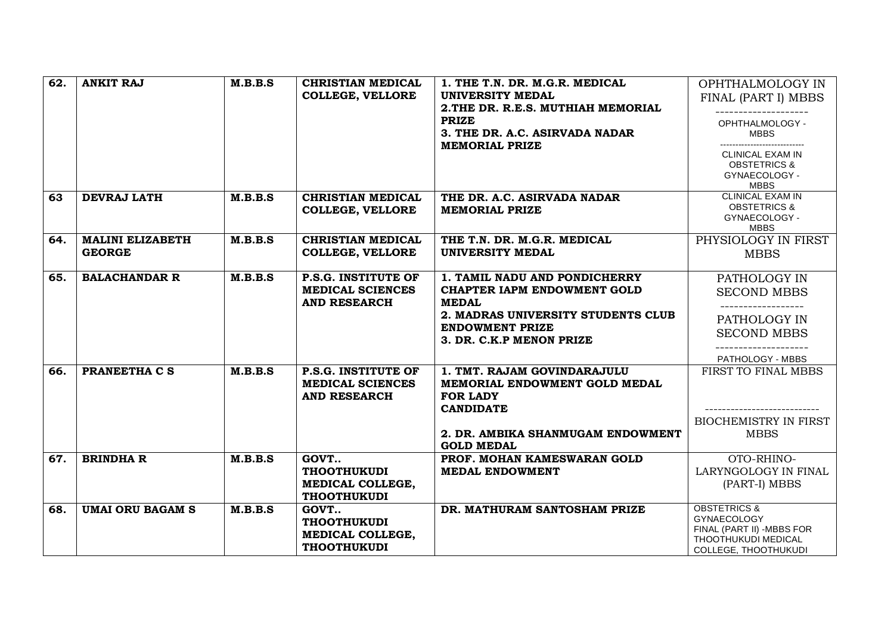| 62. | <b>ANKIT RAJ</b>                         | M.B.B.S | <b>CHRISTIAN MEDICAL</b><br><b>COLLEGE, VELLORE</b>                   | 1. THE T.N. DR. M.G.R. MEDICAL<br><b>UNIVERSITY MEDAL</b><br>2. THE DR. R.E.S. MUTHIAH MEMORIAL<br><b>PRIZE</b><br>3. THE DR. A.C. ASIRVADA NADAR<br><b>MEMORIAL PRIZE</b>      | OPHTHALMOLOGY IN<br>FINAL (PART I) MBBS<br>OPHTHALMOLOGY -<br><b>MBBS</b>                                                 |
|-----|------------------------------------------|---------|-----------------------------------------------------------------------|---------------------------------------------------------------------------------------------------------------------------------------------------------------------------------|---------------------------------------------------------------------------------------------------------------------------|
|     |                                          |         |                                                                       |                                                                                                                                                                                 | <b>CLINICAL EXAM IN</b><br><b>OBSTETRICS &amp;</b><br>GYNAECOLOGY -<br><b>MBBS</b>                                        |
| 63  | <b>DEVRAJ LATH</b>                       | M.B.B.S | <b>CHRISTIAN MEDICAL</b><br><b>COLLEGE, VELLORE</b>                   | THE DR. A.C. ASIRVADA NADAR<br><b>MEMORIAL PRIZE</b>                                                                                                                            | <b>CLINICAL EXAM IN</b><br><b>OBSTETRICS &amp;</b><br>GYNAECOLOGY -<br><b>MBBS</b>                                        |
| 64. | <b>MALINI ELIZABETH</b><br><b>GEORGE</b> | M.B.B.S | <b>CHRISTIAN MEDICAL</b><br><b>COLLEGE, VELLORE</b>                   | THE T.N. DR. M.G.R. MEDICAL<br>UNIVERSITY MEDAL                                                                                                                                 | PHYSIOLOGY IN FIRST<br><b>MBBS</b>                                                                                        |
| 65. | <b>BALACHANDAR R</b>                     | M.B.B.S | P.S.G. INSTITUTE OF<br><b>MEDICAL SCIENCES</b><br><b>AND RESEARCH</b> | 1. TAMIL NADU AND PONDICHERRY<br><b>CHAPTER IAPM ENDOWMENT GOLD</b><br><b>MEDAL</b><br>2. MADRAS UNIVERSITY STUDENTS CLUB<br><b>ENDOWMENT PRIZE</b><br>3. DR. C.K.P MENON PRIZE | PATHOLOGY IN<br><b>SECOND MBBS</b><br>PATHOLOGY IN<br><b>SECOND MBBS</b><br>--------------<br>PATHOLOGY - MBBS            |
| 66. | PRANEETHA C S                            | M.B.B.S | P.S.G. INSTITUTE OF<br><b>MEDICAL SCIENCES</b><br><b>AND RESEARCH</b> | 1. TMT. RAJAM GOVINDARAJULU<br>MEMORIAL ENDOWMENT GOLD MEDAL<br><b>FOR LADY</b><br><b>CANDIDATE</b><br>2. DR. AMBIKA SHANMUGAM ENDOWMENT<br><b>GOLD MEDAL</b>                   | FIRST TO FINAL MBBS<br><b>BIOCHEMISTRY IN FIRST</b><br><b>MBBS</b>                                                        |
| 67. | <b>BRINDHA R</b>                         | M.B.B.S | GOVT<br><b>THOOTHUKUDI</b><br>MEDICAL COLLEGE,<br><b>THOOTHUKUDI</b>  | PROF. MOHAN KAMESWARAN GOLD<br><b>MEDAL ENDOWMENT</b>                                                                                                                           | OTO-RHINO-<br>LARYNGOLOGY IN FINAL<br>(PART-I) MBBS                                                                       |
| 68. | <b>UMAI ORU BAGAM S</b>                  | M.B.B.S | GOVT<br><b>THOOTHUKUDI</b><br>MEDICAL COLLEGE,<br><b>THOOTHUKUDI</b>  | DR. MATHURAM SANTOSHAM PRIZE                                                                                                                                                    | <b>OBSTETRICS &amp;</b><br><b>GYNAECOLOGY</b><br>FINAL (PART II) -MBBS FOR<br>THOOTHUKUDI MEDICAL<br>COLLEGE, THOOTHUKUDI |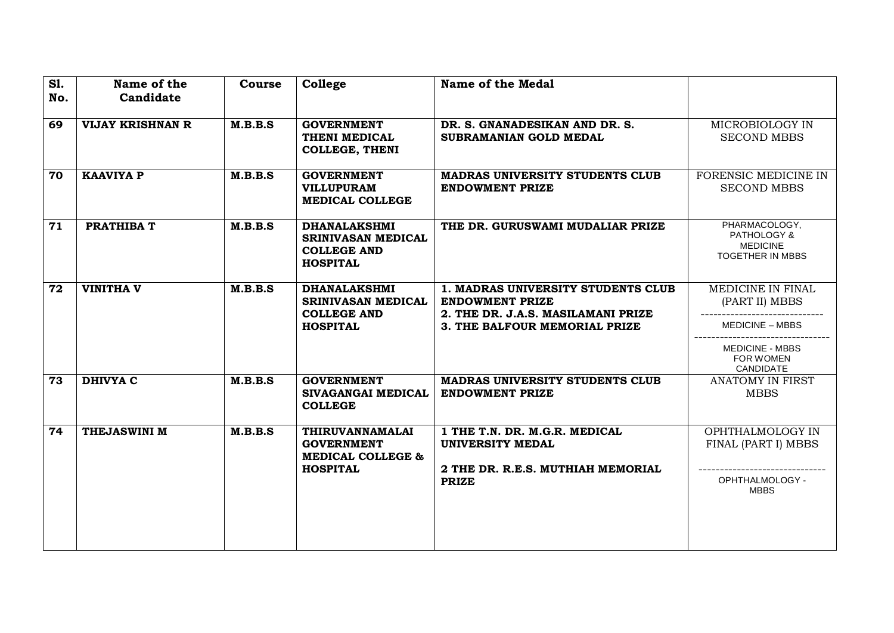| <b>S1.</b><br>No. | Name of the<br>Candidate | <b>Course</b> | College                                                                            | <b>Name of the Medal</b>                                                                           |                                                                     |
|-------------------|--------------------------|---------------|------------------------------------------------------------------------------------|----------------------------------------------------------------------------------------------------|---------------------------------------------------------------------|
| 69                | <b>VIJAY KRISHNAN R</b>  | M.B.B.S       | <b>GOVERNMENT</b><br>THENI MEDICAL<br><b>COLLEGE, THENI</b>                        | DR. S. GNANADESIKAN AND DR. S.<br>SUBRAMANIAN GOLD MEDAL                                           | MICROBIOLOGY IN<br><b>SECOND MBBS</b>                               |
| 70                | <b>KAAVIYA P</b>         | M.B.B.S       | <b>GOVERNMENT</b><br><b>VILLUPURAM</b><br><b>MEDICAL COLLEGE</b>                   | <b>MADRAS UNIVERSITY STUDENTS CLUB</b><br><b>ENDOWMENT PRIZE</b>                                   | FORENSIC MEDICINE IN<br><b>SECOND MBBS</b>                          |
| 71                | <b>PRATHIBA T</b>        | M.B.B.S       | <b>DHANALAKSHMI</b><br>SRINIVASAN MEDICAL<br><b>COLLEGE AND</b><br><b>HOSPITAL</b> | THE DR. GURUSWAMI MUDALIAR PRIZE                                                                   | PHARMACOLOGY,<br>PATHOLOGY &<br><b>MEDICINE</b><br>TOGETHER IN MBBS |
| 72                | <b>VINITHA V</b>         | M.B.B.S       | <b>DHANALAKSHMI</b><br>SRINIVASAN MEDICAL<br><b>COLLEGE AND</b>                    | 1. MADRAS UNIVERSITY STUDENTS CLUB<br><b>ENDOWMENT PRIZE</b><br>2. THE DR. J.A.S. MASILAMANI PRIZE | MEDICINE IN FINAL<br>(PART II) MBBS                                 |
|                   |                          |               | <b>HOSPITAL</b>                                                                    | 3. THE BALFOUR MEMORIAL PRIZE                                                                      | <b>MEDICINE - MBBS</b><br><b>MEDICINE - MBBS</b><br>FOR WOMEN       |
|                   |                          |               |                                                                                    |                                                                                                    | CANDIDATE                                                           |
| 73                | <b>DHIVYA C</b>          | M.B.B.S       | <b>GOVERNMENT</b><br>SIVAGANGAI MEDICAL<br><b>COLLEGE</b>                          | <b>MADRAS UNIVERSITY STUDENTS CLUB</b><br><b>ENDOWMENT PRIZE</b>                                   | <b>ANATOMY IN FIRST</b><br><b>MBBS</b>                              |
| 74                | THEJASWINI M             | M.B.B.S       | THIRUVANNAMALAI<br><b>GOVERNMENT</b><br><b>MEDICAL COLLEGE &amp;</b>               | 1 THE T.N. DR. M.G.R. MEDICAL<br>UNIVERSITY MEDAL                                                  | OPHTHALMOLOGY IN<br>FINAL (PART I) MBBS                             |
|                   |                          |               | <b>HOSPITAL</b>                                                                    | 2 THE DR. R.E.S. MUTHIAH MEMORIAL<br><b>PRIZE</b>                                                  | OPHTHALMOLOGY -<br><b>MBBS</b>                                      |
|                   |                          |               |                                                                                    |                                                                                                    |                                                                     |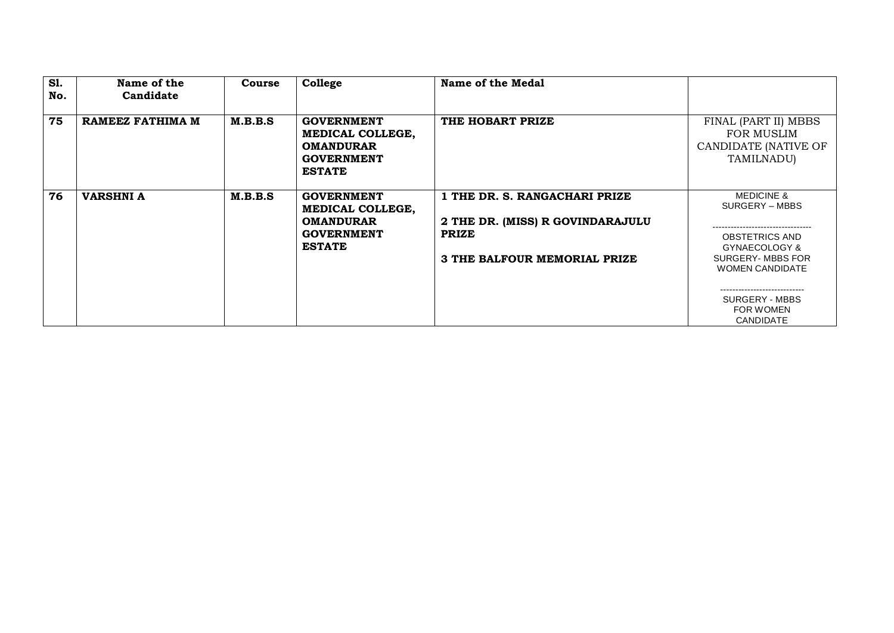| <b>S1.</b><br>No. | Name of the<br>Candidate | Course  | College                                                                                         | Name of the Medal                                                 |                                                                          |
|-------------------|--------------------------|---------|-------------------------------------------------------------------------------------------------|-------------------------------------------------------------------|--------------------------------------------------------------------------|
| 75                | RAMEEZ FATHIMA M         | M.B.B.S | <b>GOVERNMENT</b><br>MEDICAL COLLEGE,<br><b>OMANDURAR</b><br><b>GOVERNMENT</b><br><b>ESTATE</b> | THE HOBART PRIZE                                                  | FINAL (PART II) MBBS<br>FOR MUSLIM<br>CANDIDATE (NATIVE OF<br>TAMILNADU) |
| 76                | <b>VARSHNI A</b>         | M.B.B.S | <b>GOVERNMENT</b><br>MEDICAL COLLEGE,<br><b>OMANDURAR</b>                                       | 1 THE DR. S. RANGACHARI PRIZE<br>2 THE DR. (MISS) R GOVINDARAJULU | <b>MEDICINE &amp;</b><br>SURGERY – MBBS                                  |
|                   |                          |         | <b>GOVERNMENT</b><br><b>ESTATE</b>                                                              | <b>PRIZE</b>                                                      | OBSTETRICS AND<br>GYNAECOLOGY &                                          |
|                   |                          |         |                                                                                                 | 3 THE BALFOUR MEMORIAL PRIZE                                      | SURGERY- MBBS FOR<br><b>WOMEN CANDIDATE</b>                              |
|                   |                          |         |                                                                                                 |                                                                   | SURGERY - MBBS<br><b>FOR WOMEN</b><br><b>CANDIDATE</b>                   |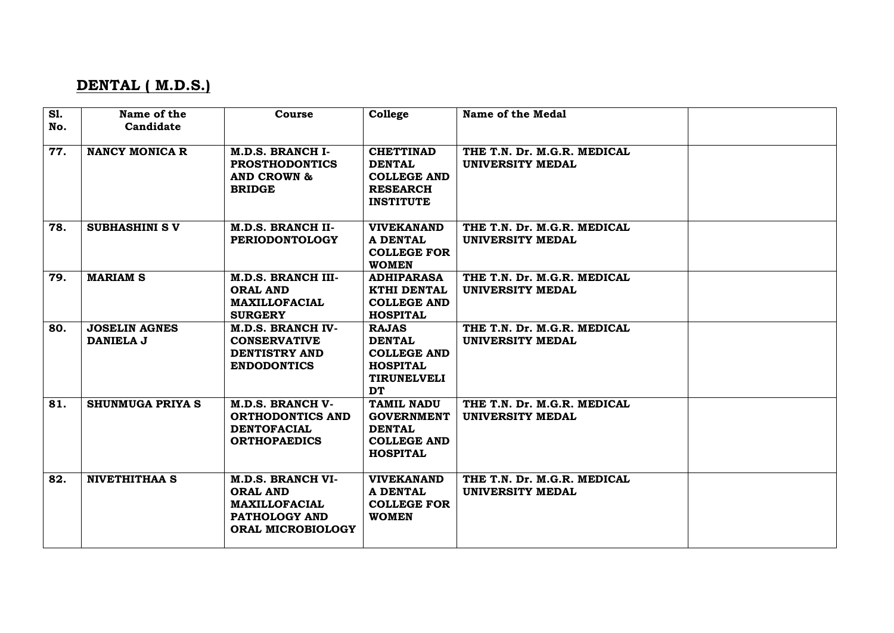# **DENTAL ( M.D.S.)**

| <b>S1.</b> | Name of the                       | Course                                                                                                    | College                                                                                                   | Name of the Medal                                      |  |
|------------|-----------------------------------|-----------------------------------------------------------------------------------------------------------|-----------------------------------------------------------------------------------------------------------|--------------------------------------------------------|--|
| No.        | Candidate                         |                                                                                                           |                                                                                                           |                                                        |  |
| 77.        | <b>NANCY MONICA R</b>             | M.D.S. BRANCH I-<br><b>PROSTHODONTICS</b><br><b>AND CROWN &amp;</b><br><b>BRIDGE</b>                      | <b>CHETTINAD</b><br><b>DENTAL</b><br><b>COLLEGE AND</b><br><b>RESEARCH</b><br><b>INSTITUTE</b>            | THE T.N. Dr. M.G.R. MEDICAL<br>UNIVERSITY MEDAL        |  |
| 78.        | <b>SUBHASHINI SV</b>              | <b>M.D.S. BRANCH II-</b><br><b>PERIODONTOLOGY</b>                                                         | <b>VIVEKANAND</b><br><b>A DENTAL</b><br><b>COLLEGE FOR</b><br><b>WOMEN</b>                                | THE T.N. Dr. M.G.R. MEDICAL<br><b>UNIVERSITY MEDAL</b> |  |
| 79.        | <b>MARIAM S</b>                   | <b>M.D.S. BRANCH III-</b><br><b>ORAL AND</b><br><b>MAXILLOFACIAL</b><br><b>SURGERY</b>                    | <b>ADHIPARASA</b><br><b>KTHI DENTAL</b><br><b>COLLEGE AND</b><br><b>HOSPITAL</b>                          | THE T.N. Dr. M.G.R. MEDICAL<br><b>UNIVERSITY MEDAL</b> |  |
| 80.        | <b>JOSELIN AGNES</b><br>DANIELA J | <b>M.D.S. BRANCH IV-</b><br><b>CONSERVATIVE</b><br><b>DENTISTRY AND</b><br><b>ENDODONTICS</b>             | <b>RAJAS</b><br><b>DENTAL</b><br><b>COLLEGE AND</b><br><b>HOSPITAL</b><br><b>TIRUNELVELI</b><br><b>DT</b> | THE T.N. Dr. M.G.R. MEDICAL<br>UNIVERSITY MEDAL        |  |
| 81.        | <b>SHUNMUGA PRIYA S</b>           | <b>M.D.S. BRANCH V-</b><br><b>ORTHODONTICS AND</b><br><b>DENTOFACIAL</b><br><b>ORTHOPAEDICS</b>           | <b>TAMIL NADU</b><br><b>GOVERNMENT</b><br><b>DENTAL</b><br><b>COLLEGE AND</b><br><b>HOSPITAL</b>          | THE T.N. Dr. M.G.R. MEDICAL<br><b>UNIVERSITY MEDAL</b> |  |
| 82.        | <b>NIVETHITHAA S</b>              | <b>M.D.S. BRANCH VI-</b><br><b>ORAL AND</b><br><b>MAXILLOFACIAL</b><br>PATHOLOGY AND<br>ORAL MICROBIOLOGY | <b>VIVEKANAND</b><br><b>A DENTAL</b><br><b>COLLEGE FOR</b><br><b>WOMEN</b>                                | THE T.N. Dr. M.G.R. MEDICAL<br>UNIVERSITY MEDAL        |  |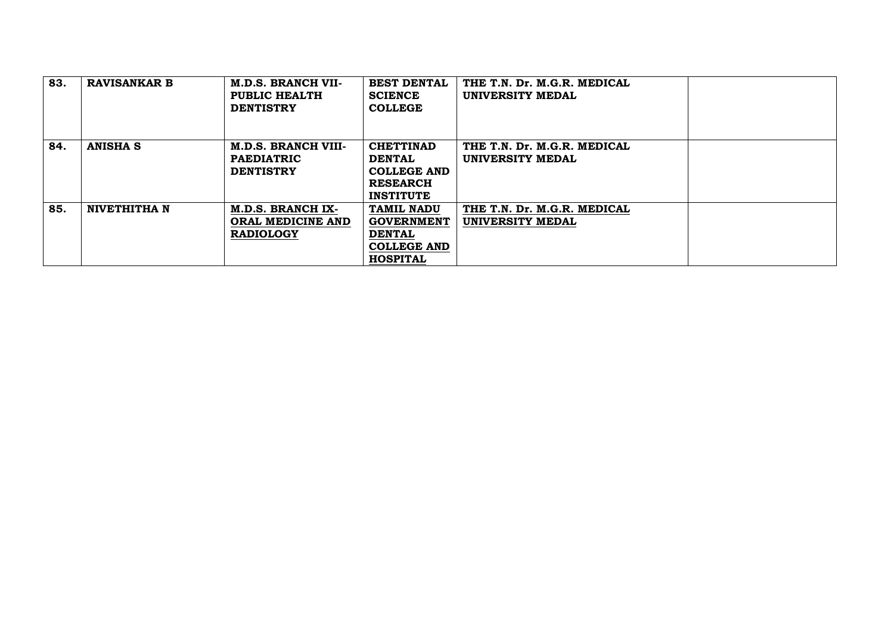| 83. | <b>RAVISANKAR B</b> | <b>M.D.S. BRANCH VII-</b><br>PUBLIC HEALTH<br><b>DENTISTRY</b>      | <b>BEST DENTAL</b><br><b>SCIENCE</b><br><b>COLLEGE</b>                                           | THE T.N. Dr. M.G.R. MEDICAL<br>UNIVERSITY MEDAL |  |
|-----|---------------------|---------------------------------------------------------------------|--------------------------------------------------------------------------------------------------|-------------------------------------------------|--|
| 84. | <b>ANISHA S</b>     | <b>M.D.S. BRANCH VIII-</b><br><b>PAEDIATRIC</b><br><b>DENTISTRY</b> | <b>CHETTINAD</b><br><b>DENTAL</b><br><b>COLLEGE AND</b><br><b>RESEARCH</b><br><b>INSTITUTE</b>   | THE T.N. Dr. M.G.R. MEDICAL<br>UNIVERSITY MEDAL |  |
| 85. | NIVETHITHA N        | <b>M.D.S. BRANCH IX-</b><br>ORAL MEDICINE AND<br><b>RADIOLOGY</b>   | <b>TAMIL NADU</b><br><b>GOVERNMENT</b><br><b>DENTAL</b><br><b>COLLEGE AND</b><br><b>HOSPITAL</b> | THE T.N. Dr. M.G.R. MEDICAL<br>UNIVERSITY MEDAL |  |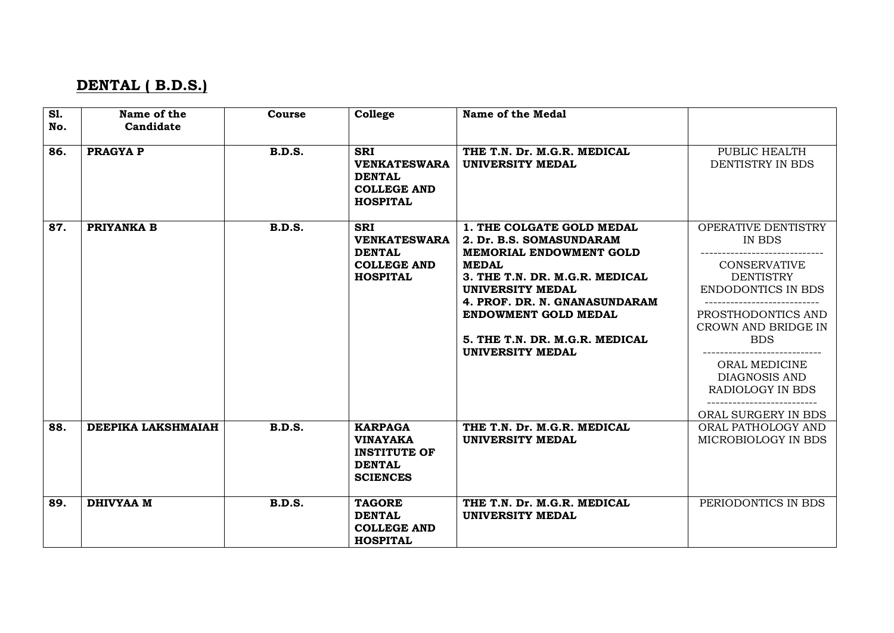# **DENTAL ( B.D.S.)**

| <b>S1.</b> | Name of the        | Course        | College             | Name of the Medal              |                           |
|------------|--------------------|---------------|---------------------|--------------------------------|---------------------------|
| No.        | Candidate          |               |                     |                                |                           |
|            |                    |               |                     |                                |                           |
| 86.        | <b>PRAGYA P</b>    | <b>B.D.S.</b> | <b>SRI</b>          | THE T.N. Dr. M.G.R. MEDICAL    | PUBLIC HEALTH             |
|            |                    |               | <b>VENKATESWARA</b> | <b>UNIVERSITY MEDAL</b>        | DENTISTRY IN BDS          |
|            |                    |               | <b>DENTAL</b>       |                                |                           |
|            |                    |               | <b>COLLEGE AND</b>  |                                |                           |
|            |                    |               | <b>HOSPITAL</b>     |                                |                           |
|            |                    |               |                     |                                |                           |
| 87.        | PRIYANKA B         | <b>B.D.S.</b> | <b>SRI</b>          | 1. THE COLGATE GOLD MEDAL      | OPERATIVE DENTISTRY       |
|            |                    |               | <b>VENKATESWARA</b> | 2. Dr. B.S. SOMASUNDARAM       | IN BDS                    |
|            |                    |               | <b>DENTAL</b>       | MEMORIAL ENDOWMENT GOLD        |                           |
|            |                    |               | <b>COLLEGE AND</b>  | <b>MEDAL</b>                   | <b>CONSERVATIVE</b>       |
|            |                    |               | <b>HOSPITAL</b>     | 3. THE T.N. DR. M.G.R. MEDICAL | <b>DENTISTRY</b>          |
|            |                    |               |                     | <b>UNIVERSITY MEDAL</b>        | <b>ENDODONTICS IN BDS</b> |
|            |                    |               |                     | 4. PROF. DR. N. GNANASUNDARAM  |                           |
|            |                    |               |                     | <b>ENDOWMENT GOLD MEDAL</b>    | PROSTHODONTICS AND        |
|            |                    |               |                     |                                | CROWN AND BRIDGE IN       |
|            |                    |               |                     | 5. THE T.N. DR. M.G.R. MEDICAL | <b>BDS</b>                |
|            |                    |               |                     | <b>UNIVERSITY MEDAL</b>        |                           |
|            |                    |               |                     |                                | ORAL MEDICINE             |
|            |                    |               |                     |                                | DIAGNOSIS AND             |
|            |                    |               |                     |                                | <b>RADIOLOGY IN BDS</b>   |
|            |                    |               |                     |                                | ----------------          |
|            |                    |               |                     |                                | ORAL SURGERY IN BDS       |
| 88.        | DEEPIKA LAKSHMAIAH | <b>B.D.S.</b> | <b>KARPAGA</b>      | THE T.N. Dr. M.G.R. MEDICAL    | ORAL PATHOLOGY AND        |
|            |                    |               | <b>VINAYAKA</b>     | <b>UNIVERSITY MEDAL</b>        | MICROBIOLOGY IN BDS       |
|            |                    |               | <b>INSTITUTE OF</b> |                                |                           |
|            |                    |               | <b>DENTAL</b>       |                                |                           |
|            |                    |               | <b>SCIENCES</b>     |                                |                           |
|            |                    |               |                     |                                |                           |
| 89.        | <b>DHIVYAA M</b>   | <b>B.D.S.</b> | <b>TAGORE</b>       | THE T.N. Dr. M.G.R. MEDICAL    | PERIODONTICS IN BDS       |
|            |                    |               | <b>DENTAL</b>       | <b>UNIVERSITY MEDAL</b>        |                           |
|            |                    |               | <b>COLLEGE AND</b>  |                                |                           |
|            |                    |               | <b>HOSPITAL</b>     |                                |                           |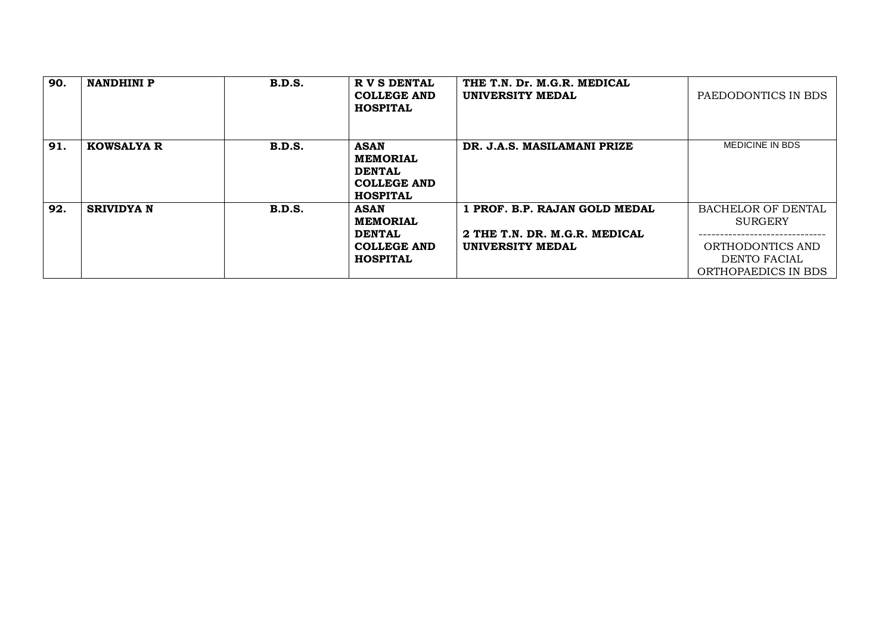| 90. | <b>NANDHINI P</b> | B.D.S.        | R V S DENTAL<br><b>COLLEGE AND</b><br><b>HOSPITAL</b>                                    | THE T.N. Dr. M.G.R. MEDICAL<br>UNIVERSITY MEDAL                                    | PAEDODONTICS IN BDS                                                                                    |
|-----|-------------------|---------------|------------------------------------------------------------------------------------------|------------------------------------------------------------------------------------|--------------------------------------------------------------------------------------------------------|
| 91. | <b>KOWSALYA R</b> | B.D.S.        | <b>ASAN</b><br><b>MEMORIAL</b><br><b>DENTAL</b><br><b>COLLEGE AND</b><br><b>HOSPITAL</b> | DR. J.A.S. MASILAMANI PRIZE                                                        | <b>MEDICINE IN BDS</b>                                                                                 |
| 92. | <b>SRIVIDYA N</b> | <b>B.D.S.</b> | <b>ASAN</b><br><b>MEMORIAL</b><br><b>DENTAL</b><br><b>COLLEGE AND</b><br><b>HOSPITAL</b> | 1 PROF. B.P. RAJAN GOLD MEDAL<br>2 THE T.N. DR. M.G.R. MEDICAL<br>UNIVERSITY MEDAL | <b>BACHELOR OF DENTAL</b><br><b>SURGERY</b><br>ORTHODONTICS AND<br>DENTO FACIAL<br>ORTHOPAEDICS IN BDS |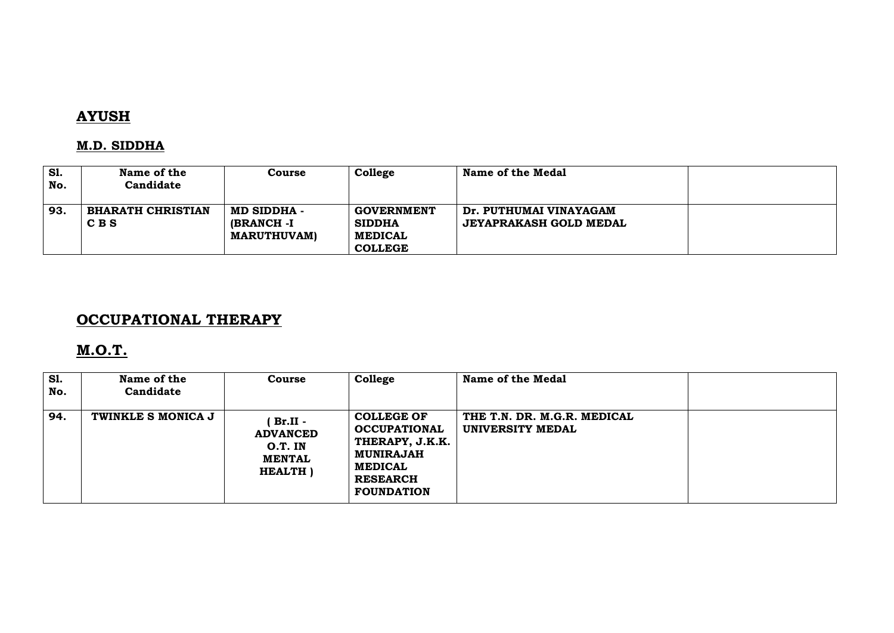# **AYUSH**

### **M.D. SIDDHA**

| S1.<br>No. | Name of the<br>Candidate          | Course                                          | College                                                                | <b>Name of the Medal</b>                                |  |
|------------|-----------------------------------|-------------------------------------------------|------------------------------------------------------------------------|---------------------------------------------------------|--|
| 93.        | <b>BHARATH CHRISTIAN</b><br>C B S | MD SIDDHA -<br>(BRANCH -I<br><b>MARUTHUVAM)</b> | <b>GOVERNMENT</b><br><b>SIDDHA</b><br><b>MEDICAL</b><br><b>COLLEGE</b> | Dr. PUTHUMAI VINAYAGAM<br><b>JEYAPRAKASH GOLD MEDAL</b> |  |

# **OCCUPATIONAL THERAPY**

# **M.O.T.**

| <b>S1.</b><br>No. | Name of the<br>Candidate | Course                                                                        | College                                                                                                                                   | Name of the Medal                               |  |
|-------------------|--------------------------|-------------------------------------------------------------------------------|-------------------------------------------------------------------------------------------------------------------------------------------|-------------------------------------------------|--|
| 94.               | TWINKLE S MONICA J       | $Br.II -$<br><b>ADVANCED</b><br>$O.T.$ IN<br><b>MENTAL</b><br><b>HEALTH</b> ) | <b>COLLEGE OF</b><br><b>OCCUPATIONAL</b><br>THERAPY, J.K.K.<br><b>MUNIRAJAH</b><br><b>MEDICAL</b><br><b>RESEARCH</b><br><b>FOUNDATION</b> | THE T.N. DR. M.G.R. MEDICAL<br>UNIVERSITY MEDAL |  |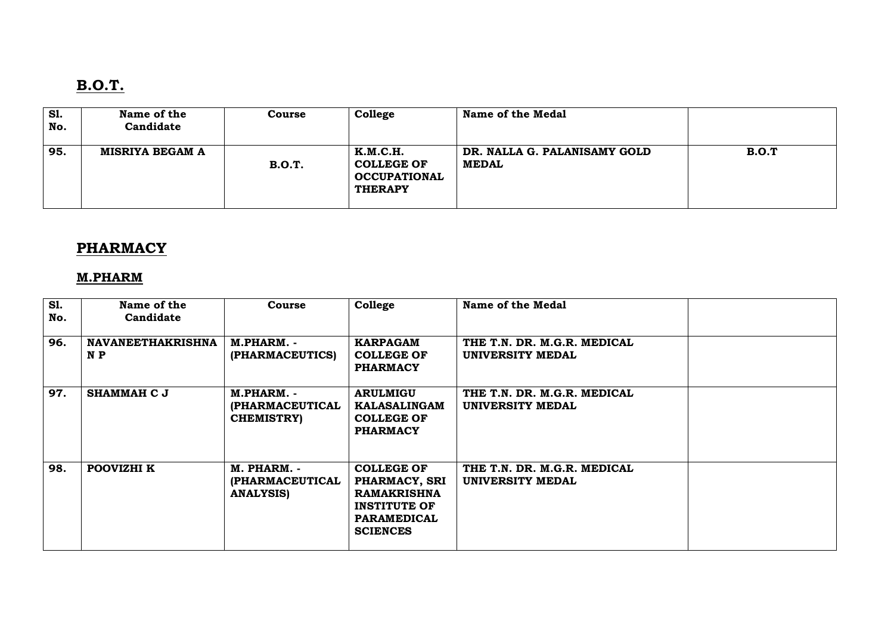# **B.O.T.**

| <b>S1.</b><br>No. | Name of the<br>Candidate | Course        | College                                                                       | <b>Name of the Medal</b>                     |       |
|-------------------|--------------------------|---------------|-------------------------------------------------------------------------------|----------------------------------------------|-------|
| 95.               | MISRIYA BEGAM A          | <b>B.O.T.</b> | <b>K.M.C.H.</b><br><b>COLLEGE OF</b><br><b>OCCUPATIONAL</b><br><b>THERAPY</b> | DR. NALLA G. PALANISAMY GOLD<br><b>MEDAL</b> | B.O.T |

# **PHARMACY**

### **M.PHARM**

| <b>S1.</b><br>No. | Name of the<br>Candidate        | Course                                             | College                                                                                                                  | <b>Name of the Medal</b>                        |  |
|-------------------|---------------------------------|----------------------------------------------------|--------------------------------------------------------------------------------------------------------------------------|-------------------------------------------------|--|
| 96.               | <b>NAVANEETHAKRISHNA</b><br>N P | M.PHARM. -<br>(PHARMACEUTICS)                      | <b>KARPAGAM</b><br><b>COLLEGE OF</b><br><b>PHARMACY</b>                                                                  | THE T.N. DR. M.G.R. MEDICAL<br>UNIVERSITY MEDAL |  |
| 97.               | <b>SHAMMAH C J</b>              | M.PHARM.<br>(PHARMACEUTICAL<br><b>CHEMISTRY</b>    | <b>ARULMIGU</b><br><b>KALASALINGAM</b><br><b>COLLEGE OF</b><br><b>PHARMACY</b>                                           | THE T.N. DR. M.G.R. MEDICAL<br>UNIVERSITY MEDAL |  |
| 98.               | POOVIZHI K                      | M. PHARM. -<br>(PHARMACEUTICAL<br><b>ANALYSIS)</b> | <b>COLLEGE OF</b><br>PHARMACY, SRI<br><b>RAMAKRISHNA</b><br><b>INSTITUTE OF</b><br><b>PARAMEDICAL</b><br><b>SCIENCES</b> | THE T.N. DR. M.G.R. MEDICAL<br>UNIVERSITY MEDAL |  |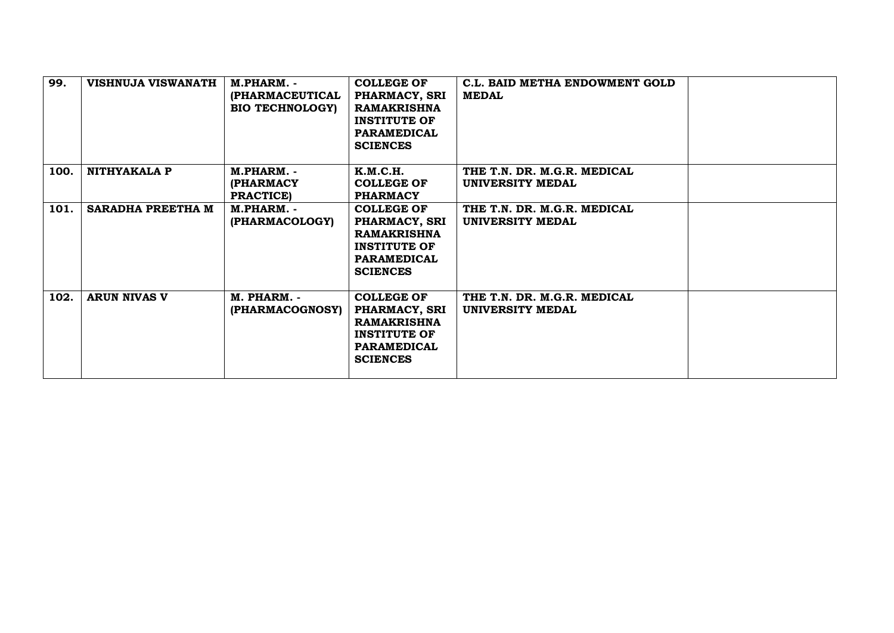| 99.  | <b>VISHNUJA VISWANATH</b> | M.PHARM. -<br>(PHARMACEUTICAL<br><b>BIO TECHNOLOGY</b> | <b>COLLEGE OF</b><br>PHARMACY, SRI<br><b>RAMAKRISHNA</b><br><b>INSTITUTE OF</b><br><b>PARAMEDICAL</b><br><b>SCIENCES</b> | C.L. BAID METHA ENDOWMENT GOLD<br><b>MEDAL</b>  |  |
|------|---------------------------|--------------------------------------------------------|--------------------------------------------------------------------------------------------------------------------------|-------------------------------------------------|--|
| 100. | NITHYAKALA P              | M.PHARM. -<br><b>(PHARMACY</b><br><b>PRACTICE</b> )    | K.M.C.H.<br><b>COLLEGE OF</b><br><b>PHARMACY</b>                                                                         | THE T.N. DR. M.G.R. MEDICAL<br>UNIVERSITY MEDAL |  |
| 101. | SARADHA PREETHA M         | M.PHARM. -<br>(PHARMACOLOGY)                           | <b>COLLEGE OF</b><br>PHARMACY, SRI<br><b>RAMAKRISHNA</b><br><b>INSTITUTE OF</b><br><b>PARAMEDICAL</b><br><b>SCIENCES</b> | THE T.N. DR. M.G.R. MEDICAL<br>UNIVERSITY MEDAL |  |
| 102. | <b>ARUN NIVAS V</b>       | M. PHARM. -<br>(PHARMACOGNOSY)                         | <b>COLLEGE OF</b><br>PHARMACY, SRI<br><b>RAMAKRISHNA</b><br><b>INSTITUTE OF</b><br><b>PARAMEDICAL</b><br><b>SCIENCES</b> | THE T.N. DR. M.G.R. MEDICAL<br>UNIVERSITY MEDAL |  |